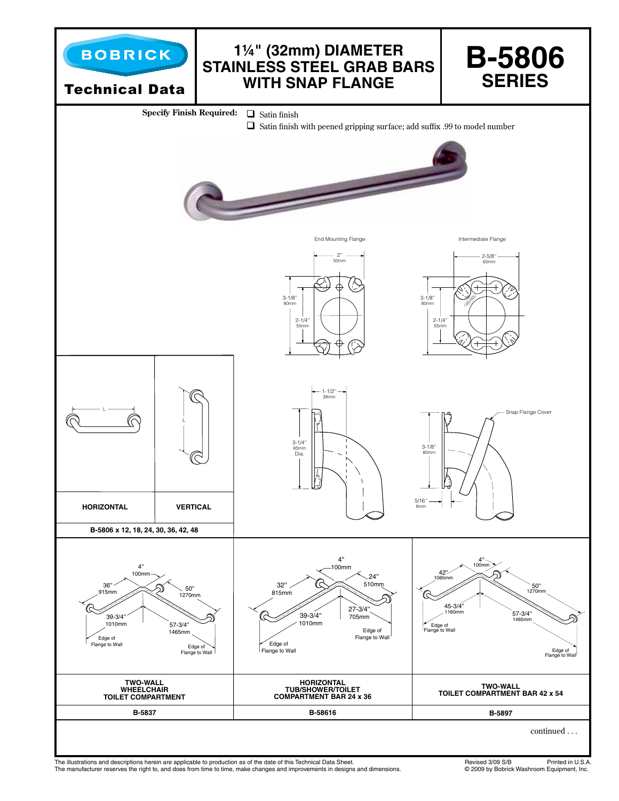

The illustrations and descriptions herein are applicable to production as of the date of this Technical Data Sheet.<br>The manufacturer reserves the right to, and does from time to time, make changes and improvements in desig